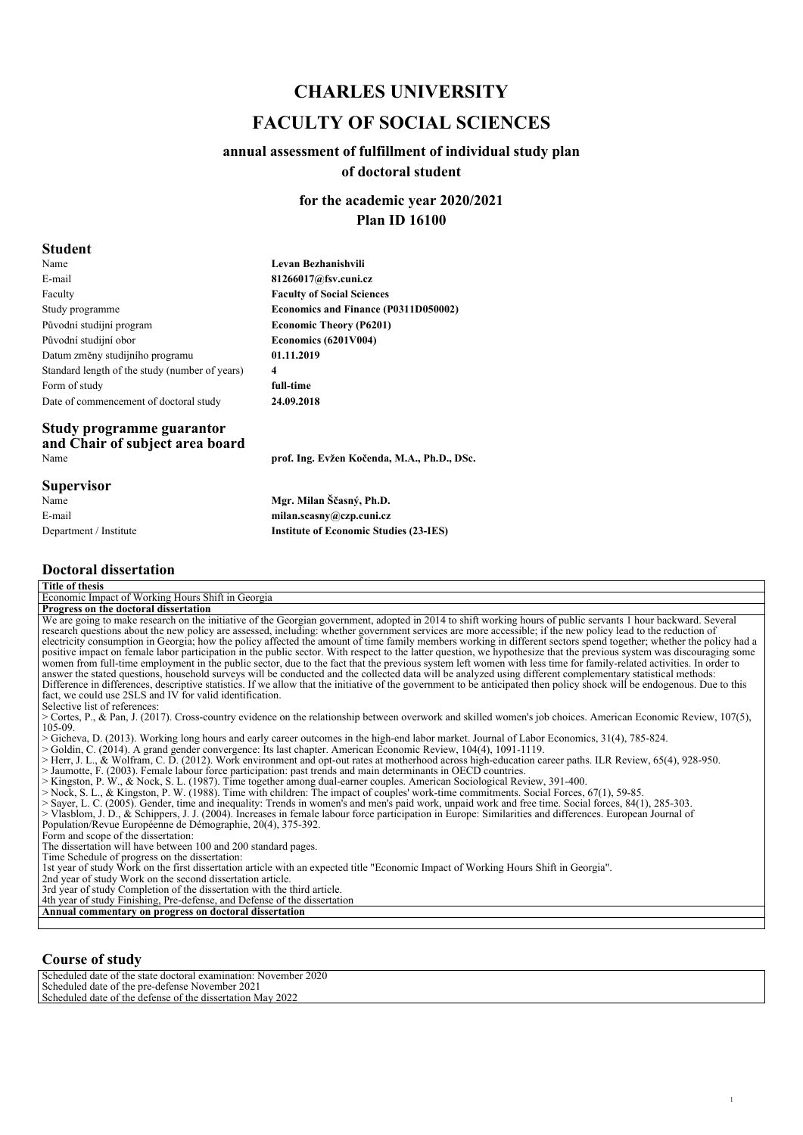## *CHARLES UNIVERSITY FACULTY OF SOCIAL SCIENCES*

### *annual assessment of fulfillment of individual study plan of doctoral student*

*for the academic year 2020/2021 Plan ID 16100*

#### *Student*

| Name                                           | Levan Bezhanishvili                  |
|------------------------------------------------|--------------------------------------|
| E-mail                                         | 81266017@fsv.cuni.cz                 |
| Faculty                                        | <b>Faculty of Social Sciences</b>    |
| Study programme                                | Economics and Finance (P0311D050002) |
| Původní studijní program                       | <b>Economic Theory (P6201)</b>       |
| Původní studijní obor                          | Economics (6201V004)                 |
| Datum změny studijního programu                | 01.11.2019                           |
| Standard length of the study (number of years) | 4                                    |
| Form of study                                  | full-time                            |
| Date of commencement of doctoral study         | 24.09.2018                           |
| Study programme guarantor                      |                                      |

#### *Study programme guarantor and Chair of subject area board Name prof. Ing. Evžen Kočenda, M.A., Ph.D., DSc.*

*Supervisor*

*Name E-mail Department / Institute*

#### *Doctoral dissertation*

| Title of thesis<br>Economic Impact of Working Hours Shift in Georgia<br>Progress on the doctoral dissertation<br>We are going to make research on the initiative of the Georgian government, adopted in 2014 to shift working hours of public servants 1 hour backward. Several                   |
|---------------------------------------------------------------------------------------------------------------------------------------------------------------------------------------------------------------------------------------------------------------------------------------------------|
|                                                                                                                                                                                                                                                                                                   |
|                                                                                                                                                                                                                                                                                                   |
|                                                                                                                                                                                                                                                                                                   |
|                                                                                                                                                                                                                                                                                                   |
| research questions about the new policy are assessed, including: whether government services are more accessible; if the new policy lead to the reduction of                                                                                                                                      |
| electricity consumption in Georgia; how the policy affected the amount of time family members working in different sectors spend together; whether the policy had a                                                                                                                               |
| positive impact on female labor participation in the public sector. With respect to the latter question, we hypothesize that the previous system was discouraging some                                                                                                                            |
| women from full-time employment in the public sector, due to the fact that the previous system left women with less time for family-related activities. In order to                                                                                                                               |
| answer the stated questions, household surveys will be conducted and the collected data will be analyzed using different complementary statistical methods:                                                                                                                                       |
| Difference in differences, descriptive statistics. If we allow that the initiative of the government to be anticipated then policy shock will be endogenous. Due to this                                                                                                                          |
| fact, we could use 2SLS and IV for valid identification.                                                                                                                                                                                                                                          |
| Selective list of references:                                                                                                                                                                                                                                                                     |
| > Cortes, P., & Pan, J. (2017). Cross-country evidence on the relationship between overwork and skilled women's job choices. American Economic Review, 107(5),                                                                                                                                    |
| 105-09.                                                                                                                                                                                                                                                                                           |
| > Gicheva, D. (2013). Working long hours and early career outcomes in the high-end labor market. Journal of Labor Economics, 31(4), 785-824.                                                                                                                                                      |
| > Goldin, C. (2014). A grand gender convergence: Its last chapter. American Economic Review, 104(4), 1091-1119.                                                                                                                                                                                   |
| > Herr, J. L., & Wolfram, C. D. (2012). Work environment and opt-out rates at motherhood across high-education career paths. ILR Review, 65(4), 928-950.                                                                                                                                          |
| > Jaumotte, F. (2003). Female labour force participation: past trends and main determinants in OECD countries.                                                                                                                                                                                    |
| > Kingston, P. W., & Nock, S. L. (1987). Time together among dual-earner couples. American Sociological Review, 391-400.                                                                                                                                                                          |
| $>$ Nock, S. L., & Kingston, P. W. (1988). Time with children: The impact of couples' work-time commitments. Social Forces, 67(1), 59-85.<br>> Sayer, L. C. (2005). Gender, time and inequality: Trends in women's and men's paid work, unpaid work and free time. Social forces, 84(1), 285-303. |
| > Vlasblom, J. D., & Schippers, J. J. (2004). Increases in female labour force participation in Europe: Similarities and differences. European Journal of                                                                                                                                         |
| Population/Revue Européenne de Démographie, 20(4), 375-392.                                                                                                                                                                                                                                       |
| Form and scope of the dissertation:                                                                                                                                                                                                                                                               |
| The dissertation will have between 100 and 200 standard pages.                                                                                                                                                                                                                                    |
| Time Schedule of progress on the dissertation:                                                                                                                                                                                                                                                    |
| 1st year of study Work on the first dissertation article with an expected title "Economic Impact of Working Hours Shift in Georgia".                                                                                                                                                              |
| 2nd year of study Work on the second dissertation article.                                                                                                                                                                                                                                        |
| 3rd year of study Completion of the dissertation with the third article.                                                                                                                                                                                                                          |
| 4th year of study Finishing, Pre-defense, and Defense of the dissertation                                                                                                                                                                                                                         |

*Mgr. Milan Ščasný, Ph.D. milan.scasny@czp.cuni.cz*

*Institute of Economic Studies (23-IES)*

*1*

*Annual commentary on progress on doctoral dissertation*

#### *Course of study*

| Scheduled date of the state doctoral examination: November 2020 |
|-----------------------------------------------------------------|
| Scheduled date of the pre-defense November 2021                 |
| Scheduled date of the defense of the dissertation May 2022      |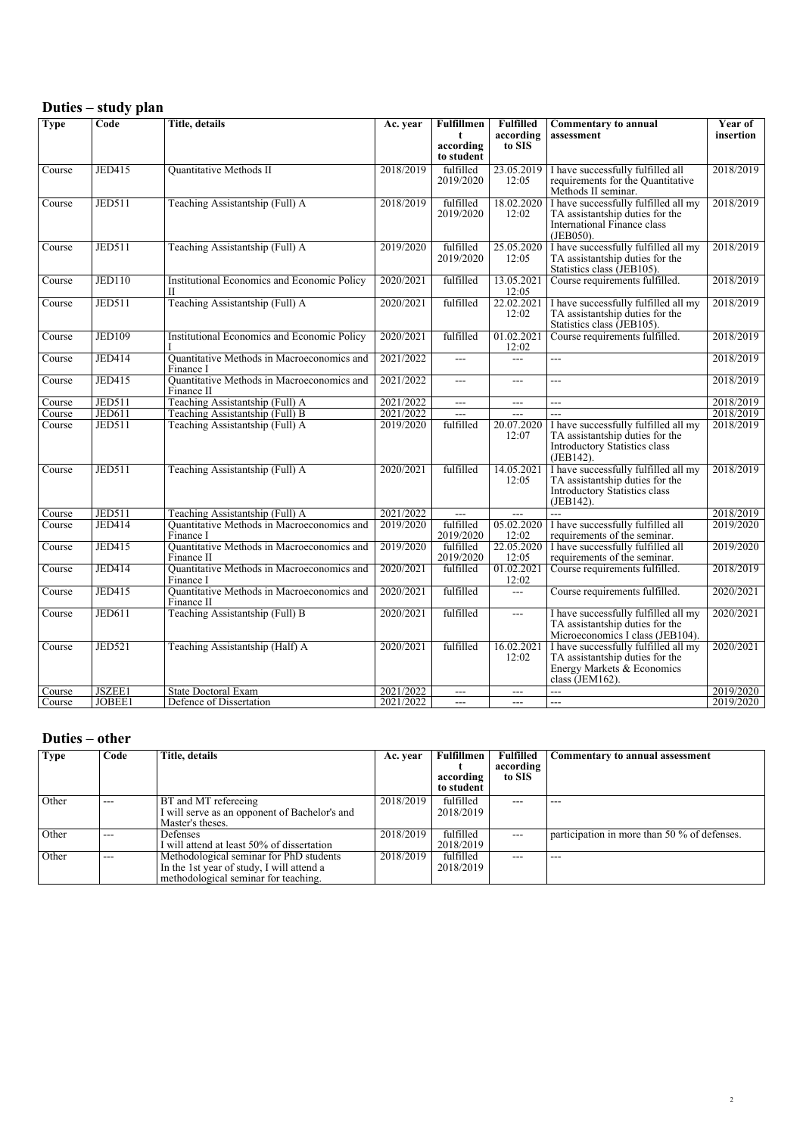#### *Duties – study plan*

| <b>Type</b> | Code          | <b>Title, details</b>                                             | Ac. year  | <b>Fulfillmen</b><br>t<br>according<br>to student | <b>Fulfilled</b><br>according<br>to SIS | Commentary to annual<br>assessment                                                                                           | Year of<br>insertion |
|-------------|---------------|-------------------------------------------------------------------|-----------|---------------------------------------------------|-----------------------------------------|------------------------------------------------------------------------------------------------------------------------------|----------------------|
| Course      | <b>JED415</b> | Quantitative Methods II                                           | 2018/2019 | fulfilled<br>2019/2020                            | 23.05.2019<br>12:05                     | I have successfully fulfilled all<br>requirements for the Quantitative<br>Methods II seminar.                                | 2018/2019            |
| Course      | <b>JED511</b> | Teaching Assistantship (Full) A                                   | 2018/2019 | fulfilled<br>2019/2020                            | 18.02.2020<br>12:02                     | I have successfully fulfilled all my<br>TA assistantship duties for the<br>International Finance class<br>(JEB050).          | 2018/2019            |
| Course      | <b>JED511</b> | Teaching Assistantship (Full) A                                   | 2019/2020 | fulfilled<br>2019/2020                            | 25.05.2020<br>12:05                     | I have successfully fulfilled all my<br>TA assistantship duties for the<br>Statistics class (JEB105).                        | 2018/2019            |
| Course      | <b>JED110</b> | <b>Institutional Economics and Economic Policy</b><br>$_{\rm II}$ | 2020/2021 | fulfilled                                         | 13.05.2021<br>12:05                     | Course requirements fulfilled.                                                                                               | 2018/2019            |
| Course      | JED511        | Teaching Assistantship (Full) A                                   | 2020/2021 | fulfilled                                         | 22.02.2021<br>12:02                     | I have successfully fulfilled all my<br>TA assistantship duties for the<br>Statistics class (JEB105).                        | 2018/2019            |
| Course      | <b>JED109</b> | Institutional Economics and Economic Policy                       | 2020/2021 | fulfilled                                         | 01.02.2021<br>12:02                     | Course requirements fulfilled.                                                                                               | 2018/2019            |
| Course      | <b>JED414</b> | Quantitative Methods in Macroeconomics and<br>Finance I           | 2021/2022 | ---                                               | $---$                                   | ---                                                                                                                          | 2018/2019            |
| Course      | <b>JED415</b> | Quantitative Methods in Macroeconomics and<br>Finance II          | 2021/2022 | $\overline{a}$                                    | $\overline{a}$                          | ---                                                                                                                          | 2018/2019            |
| Course      | <b>JED511</b> | Teaching Assistantship (Full) A                                   | 2021/2022 | $\overline{a}$                                    | $---$                                   | $\overline{a}$                                                                                                               | 2018/2019            |
| Course      | JED611        | Teaching Assistantship (Full) B                                   | 2021/2022 | $\overline{a}$                                    | $\overline{a}$                          | ---                                                                                                                          | 2018/2019            |
| Course      | <b>JED511</b> | Teaching Assistantship (Full) A                                   | 2019/2020 | fulfilled                                         | 20.07.2020<br>12:07                     | I have successfully fulfilled all my<br>TA assistantship duties for the<br>Introductory Statistics class<br>(JEB142).        | 2018/2019            |
| Course      | <b>JED511</b> | Teaching Assistantship (Full) A                                   | 2020/2021 | fulfilled                                         | 14.05.2021<br>12:05                     | I have successfully fulfilled all my<br>TA assistantship duties for the<br><b>Introductory Statistics class</b><br>(JEB142). | 2018/2019            |
| Course      | <b>JED511</b> | Teaching Assistantship (Full) A                                   | 2021/2022 | $\overline{a}$                                    | $---$                                   | шш.,                                                                                                                         | 2018/2019            |
| Course      | <b>JED414</b> | Quantitative Methods in Macroeconomics and<br>Finance I           | 2019/2020 | fulfilled<br>2019/2020                            | 05.02.2020<br>12:02                     | I have successfully fulfilled all<br>requirements of the seminar.                                                            | 2019/2020            |
| Course      | JED415        | Quantitative Methods in Macroeconomics and<br>Finance II          | 2019/2020 | fulfilled<br>2019/2020                            | 22.05.2020<br>12:05                     | I have successfully fulfilled all<br>requirements of the seminar.                                                            | 2019/2020            |
| Course      | <b>JED414</b> | Quantitative Methods in Macroeconomics and<br>Finance I           | 2020/2021 | fulfilled                                         | 01.02.2021<br>12:02                     | Course requirements fulfilled.                                                                                               | 2018/2019            |
| Course      | <b>JED415</b> | Quantitative Methods in Macroeconomics and<br>Finance II          | 2020/2021 | fulfilled                                         | $\overline{a}$                          | Course requirements fulfilled.                                                                                               | 2020/2021            |
| Course      | <b>JED611</b> | Teaching Assistantship (Full) B                                   | 2020/2021 | fulfilled                                         | $\overline{a}$                          | I have successfully fulfilled all my<br>TA assistantship duties for the<br>Microeconomics I class (JEB104).                  | 2020/2021            |
| Course      | <b>JED521</b> | Teaching Assistantship (Half) A                                   | 2020/2021 | fulfilled                                         | 16.02.2021<br>12:02                     | I have successfully fulfilled all my<br>TA assistantship duties for the<br>Energy Markets & Economics<br>class (JEM162).     | 2020/2021            |
| Course      | JSZEE1        | <b>State Doctoral Exam</b>                                        | 2021/2022 | $---$                                             | $---$                                   | шш.,                                                                                                                         | 2019/2020            |
| Course      | JOBEE1        | Defence of Dissertation                                           | 2021/2022 | $---$                                             | $---$                                   | $---$                                                                                                                        | 2019/2020            |

#### *Duties – other*

| <b>Type</b> | Code    | Title. details                                | Ac. year  | Fulfillmen | Fulfilled | Commentary to annual assessment              |
|-------------|---------|-----------------------------------------------|-----------|------------|-----------|----------------------------------------------|
|             |         |                                               |           |            | according |                                              |
|             |         |                                               |           | according  | to SIS    |                                              |
|             |         |                                               |           | to student |           |                                              |
| Other       | $---$   | BT and MT refereeing                          | 2018/2019 | fulfilled  |           |                                              |
|             |         | I will serve as an opponent of Bachelor's and |           | 2018/2019  |           |                                              |
|             |         | Master's theses.                              |           |            |           |                                              |
| Other       | $- - -$ | Defenses                                      | 2018/2019 | fulfilled  | $- - -$   | participation in more than 50 % of defenses. |
|             |         | I will attend at least 50% of dissertation    |           | 2018/2019  |           |                                              |
| Other       | $---$   | Methodological seminar for PhD students       | 2018/2019 | fulfilled  | ---       | ---                                          |
|             |         | In the 1st year of study, I will attend a     |           | 2018/2019  |           |                                              |
|             |         | methodological seminar for teaching.          |           |            |           |                                              |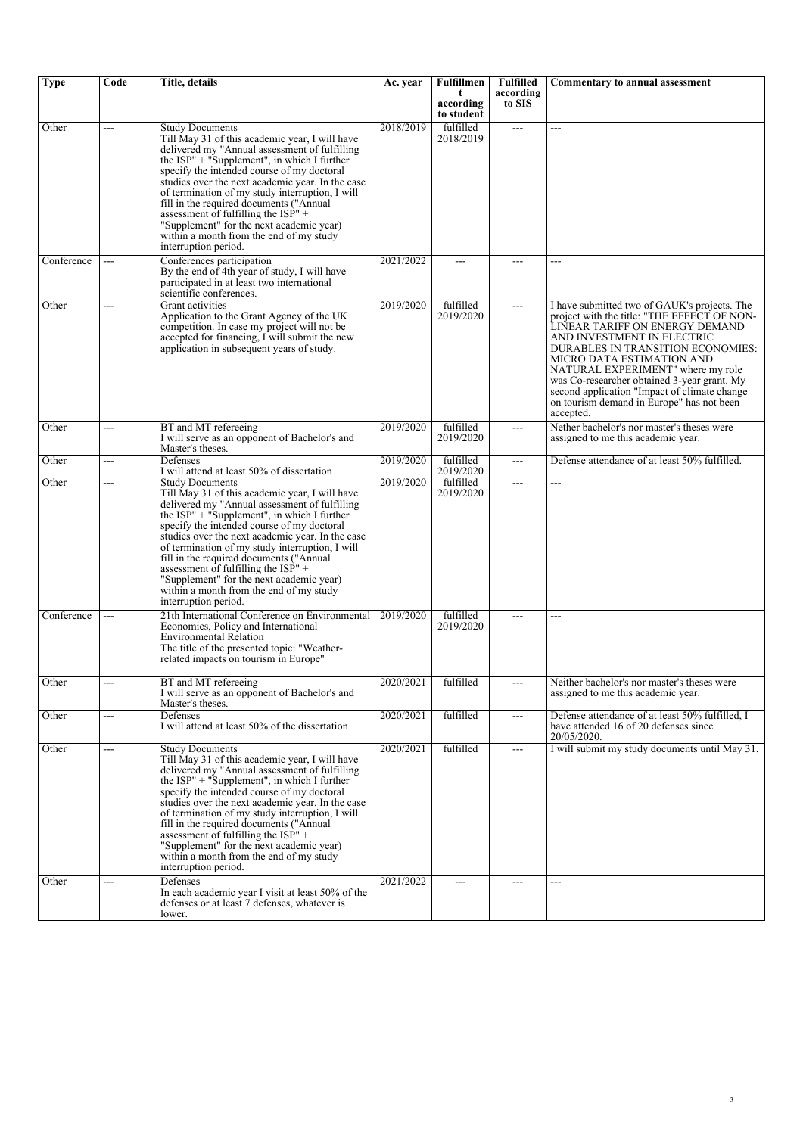| <b>Type</b> | Code | Title, details                                                                                                                                                                                                                                                                                                                                                                                                                                                                                                                             | Ac. year  | <b>Fulfillmen</b>       | <b>Fulfilled</b><br>according | Commentary to annual assessment                                                                                                                                                                                                                                                                                                                                                                                             |
|-------------|------|--------------------------------------------------------------------------------------------------------------------------------------------------------------------------------------------------------------------------------------------------------------------------------------------------------------------------------------------------------------------------------------------------------------------------------------------------------------------------------------------------------------------------------------------|-----------|-------------------------|-------------------------------|-----------------------------------------------------------------------------------------------------------------------------------------------------------------------------------------------------------------------------------------------------------------------------------------------------------------------------------------------------------------------------------------------------------------------------|
|             |      |                                                                                                                                                                                                                                                                                                                                                                                                                                                                                                                                            |           | according<br>to student | to SIS                        |                                                                                                                                                                                                                                                                                                                                                                                                                             |
| Other       | ---  | <b>Study Documents</b><br>Till May 31 of this academic year, I will have<br>delivered my "Annual assessment of fulfilling<br>the $ISP'' + "Supplement", in which I further$<br>specify the intended course of my doctoral<br>studies over the next academic year. In the case<br>of termination of my study interruption, I will<br>fill in the required documents ("Annual<br>assessment of fulfilling the $IS\hat{P}'' +$<br>"Supplement" for the next academic year)<br>within a month from the end of my study<br>interruption period. | 2018/2019 | fulfilled<br>2018/2019  | $\overline{a}$                | ---                                                                                                                                                                                                                                                                                                                                                                                                                         |
| Conference  | ---  | Conferences participation<br>By the end of 4th year of study, I will have<br>participated in at least two international<br>scientific conferences.                                                                                                                                                                                                                                                                                                                                                                                         | 2021/2022 | $---$                   | $---$                         | ---                                                                                                                                                                                                                                                                                                                                                                                                                         |
| Other       | ---  | Grant activities<br>Application to the Grant Agency of the UK<br>competition. In case my project will not be<br>accepted for financing, I will submit the new<br>application in subsequent years of study.                                                                                                                                                                                                                                                                                                                                 | 2019/2020 | fulfilled<br>2019/2020  | $\overline{a}$                | I have submitted two of GAUK's projects. The<br>project with the title: "THE EFFECT OF NON-<br>LINEAR TARIFF ON ENERGY DEMAND<br>AND INVESTMENT IN ELECTRIC<br>DURABLES IN TRANSITION ECONOMIES:<br>MICRO DATA ESTIMATION AND<br>NATURAL EXPERIMENT" where my role<br>was Co-researcher obtained 3-year grant. My<br>second application "Impact of climate change<br>on tourism demand in Europe" has not been<br>accepted. |
| Other       | ---  | BT and MT refereeing<br>I will serve as an opponent of Bachelor's and<br>Master's theses.                                                                                                                                                                                                                                                                                                                                                                                                                                                  | 2019/2020 | fulfilled<br>2019/2020  | ---                           | Nether bachelor's nor master's theses were<br>assigned to me this academic year.                                                                                                                                                                                                                                                                                                                                            |
| Other       | ---  | Defenses<br>I will attend at least 50% of dissertation                                                                                                                                                                                                                                                                                                                                                                                                                                                                                     | 2019/2020 | fulfilled<br>2019/2020  | ---                           | Defense attendance of at least 50% fulfilled.                                                                                                                                                                                                                                                                                                                                                                               |
| Other       | ---  | <b>Study Documents</b><br>Till May 31 of this academic year, I will have<br>delivered my "Annual assessment of fulfilling<br>the $ISP$ " + "Supplement", in which I further<br>specify the intended course of my doctoral<br>studies over the next academic year. In the case<br>of termination of my study interruption, I will<br>fill in the required documents ("Annual"<br>assessment of fulfilling the $ISP''$ +<br>"Supplement" for the next academic year)<br>within a month from the end of my study<br>interruption period.      | 2019/2020 | fulfilled<br>2019/2020  | ---                           | ---                                                                                                                                                                                                                                                                                                                                                                                                                         |
| Conference  | ---  | 21th International Conference on Environmental<br>Economics, Policy and International<br><b>Environmental Relation</b><br>The title of the presented topic: "Weather-<br>related impacts on tourism in Europe"                                                                                                                                                                                                                                                                                                                             | 2019/2020 | fulfilled<br>2019/2020  | ---                           | ---                                                                                                                                                                                                                                                                                                                                                                                                                         |
| Other       | ---  | BT and MT refereeing<br>I will serve as an opponent of Bachelor's and<br>Master's theses.                                                                                                                                                                                                                                                                                                                                                                                                                                                  | 2020/2021 | fulfilled               | $---$                         | Neither bachelor's nor master's theses were<br>assigned to me this academic year.                                                                                                                                                                                                                                                                                                                                           |
| Other       | ---  | Defenses<br>I will attend at least 50% of the dissertation                                                                                                                                                                                                                                                                                                                                                                                                                                                                                 | 2020/2021 | fulfilled               | $\overline{a}$                | Defense attendance of at least 50% fulfilled, I<br>have attended 16 of 20 defenses since<br>20/05/2020.                                                                                                                                                                                                                                                                                                                     |
| Other       | ---  | <b>Study Documents</b><br>Till May 31 of this academic year, I will have<br>delivered my "Annual assessment of fulfilling<br>the ISP" + "Supplement", in which I further<br>specify the intended course of my doctoral<br>studies over the next academic year. In the case<br>of termination of my study interruption, I will<br>fill in the required documents ("Annual"<br>assessment of fulfilling the $ISP''$ +<br>"Supplement" for the next academic year)<br>within a month from the end of my study<br>interruption period.         | 2020/2021 | fulfilled               | ---                           | I will submit my study documents until May 31.                                                                                                                                                                                                                                                                                                                                                                              |
| Other       | ---  | Defenses<br>In each academic year I visit at least 50% of the<br>defenses or at least 7 defenses, whatever is<br>lower.                                                                                                                                                                                                                                                                                                                                                                                                                    | 2021/2022 | $\overline{a}$          | $---$                         | ---                                                                                                                                                                                                                                                                                                                                                                                                                         |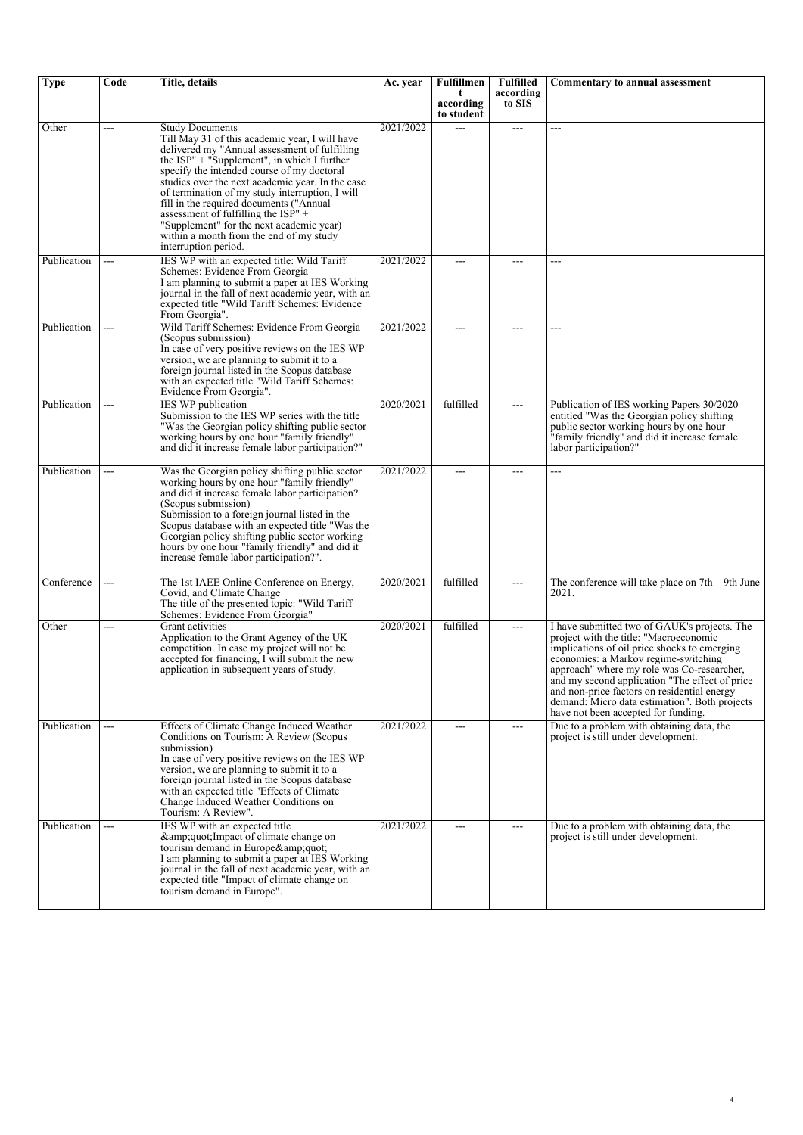| <b>Type</b> | Code  | Title, details                                                                                                                                                                                                                                                                                                                                                                                                                                                                                                                       | Ac. year  | Fulfillmen<br>t            | <b>Fulfilled</b><br>according | <b>Commentary to annual assessment</b>                                                                                                                                                                                                                                                                                                                                                                                |
|-------------|-------|--------------------------------------------------------------------------------------------------------------------------------------------------------------------------------------------------------------------------------------------------------------------------------------------------------------------------------------------------------------------------------------------------------------------------------------------------------------------------------------------------------------------------------------|-----------|----------------------------|-------------------------------|-----------------------------------------------------------------------------------------------------------------------------------------------------------------------------------------------------------------------------------------------------------------------------------------------------------------------------------------------------------------------------------------------------------------------|
|             |       |                                                                                                                                                                                                                                                                                                                                                                                                                                                                                                                                      |           | according<br>to student    | to SIS                        |                                                                                                                                                                                                                                                                                                                                                                                                                       |
| Other       | ---   | <b>Study Documents</b><br>Till May 31 of this academic year, I will have<br>delivered my "Annual assessment of fulfilling<br>the $ISP$ " + "Supplement", in which I further<br>specify the intended course of my doctoral<br>studies over the next academic year. In the case<br>of termination of my study interruption, I will<br>fill in the required documents ("Annual<br>assessment of fulfilling the $ISP'' +$<br>"Supplement" for the next academic year)<br>within a month from the end of my study<br>interruption period. | 2021/2022 | $\sim$                     | ---                           | ---                                                                                                                                                                                                                                                                                                                                                                                                                   |
| Publication | ---   | IES WP with an expected title: Wild Tariff<br>Schemes: Evidence From Georgia<br>I am planning to submit a paper at IES Working<br>journal in the fall of next academic year, with an<br>expected title "Wild Tariff Schemes: Evidence<br>From Georgia".                                                                                                                                                                                                                                                                              | 2021/2022 | ---                        | ---                           | ---                                                                                                                                                                                                                                                                                                                                                                                                                   |
| Publication | ---   | Wild Tariff Schemes: Evidence From Georgia<br>(Scopus submission)<br>In case of very positive reviews on the IES WP<br>version, we are planning to submit it to a<br>foreign journal listed in the Scopus database<br>with an expected title "Wild Tariff Schemes:<br>Evidence From Georgia".                                                                                                                                                                                                                                        | 2021/2022 |                            |                               | ---                                                                                                                                                                                                                                                                                                                                                                                                                   |
| Publication | ---   | <b>IES WP</b> publication<br>Submission to the IES WP series with the title<br>"Was the Georgian policy shifting public sector"<br>working hours by one hour "family friendly"<br>and did it increase female labor participation?"                                                                                                                                                                                                                                                                                                   | 2020/2021 | fulfilled                  | ---                           | Publication of IES working Papers 30/2020<br>entitled "Was the Georgian policy shifting<br>public sector working hours by one hour<br>"family friendly" and did it increase female<br>labor participation?"                                                                                                                                                                                                           |
| Publication | ---   | Was the Georgian policy shifting public sector<br>working hours by one hour "family friendly"<br>and did it increase female labor participation?<br>(Scopus submission)<br>Submission to a foreign journal listed in the<br>Scopus database with an expected title "Was the<br>Georgian policy shifting public sector working<br>hours by one hour "family friendly" and did it<br>increase female labor participation?".                                                                                                            | 2021/2022 | $---$                      | ---                           | ---                                                                                                                                                                                                                                                                                                                                                                                                                   |
| Conference  | ---   | The 1st IAEE Online Conference on Energy,<br>Covid, and Climate Change<br>The title of the presented topic: "Wild Tariff<br>Schemes: Evidence From Georgia"                                                                                                                                                                                                                                                                                                                                                                          | 2020/2021 | fulfilled                  | ---                           | The conference will take place on $7th - 9th$ June<br>2021.                                                                                                                                                                                                                                                                                                                                                           |
| Other       | ---   | Grant activities<br>Application to the Grant Agency of the UK<br>competition. In case my project will not be<br>accepted for financing, I will submit the new<br>application in subsequent years of study.                                                                                                                                                                                                                                                                                                                           | 2020/2021 | fulfilled                  | ---                           | I have submitted two of GAUK's projects. The<br>project with the title: "Macroeconomic<br>implications of oil price shocks to emerging<br>economies: a Markov regime-switching<br>approach" where my role was Co-researcher,<br>and my second application "The effect of price<br>and non-price factors on residential energy<br>demand: Micro data estimation". Both projects<br>have not been accepted for funding. |
| Publication | $---$ | Effects of Climate Change Induced Weather<br>Conditions on Tourism: A Review (Scopus)<br>submission)<br>In case of very positive reviews on the IES WP<br>version, we are planning to submit it to a<br>foreign journal listed in the Scopus database<br>with an expected title "Effects of Climate"<br>Change Induced Weather Conditions on<br>Tourism: A Review".                                                                                                                                                                  | 2021/2022 | $---$                      | $---$                         | Due to a problem with obtaining data, the<br>project is still under development.                                                                                                                                                                                                                                                                                                                                      |
| Publication | ---   | IES WP with an expected title<br>& quot; Impact of climate change on<br>tourism demand in Europe"<br>I am planning to submit a paper at IES Working<br>journal in the fall of next academic year, with an<br>expected title "Impact of climate change on<br>tourism demand in Europe".                                                                                                                                                                                                                                               | 2021/2022 | $\qquad \qquad \text{---}$ | ---                           | Due to a problem with obtaining data, the<br>project is still under development.                                                                                                                                                                                                                                                                                                                                      |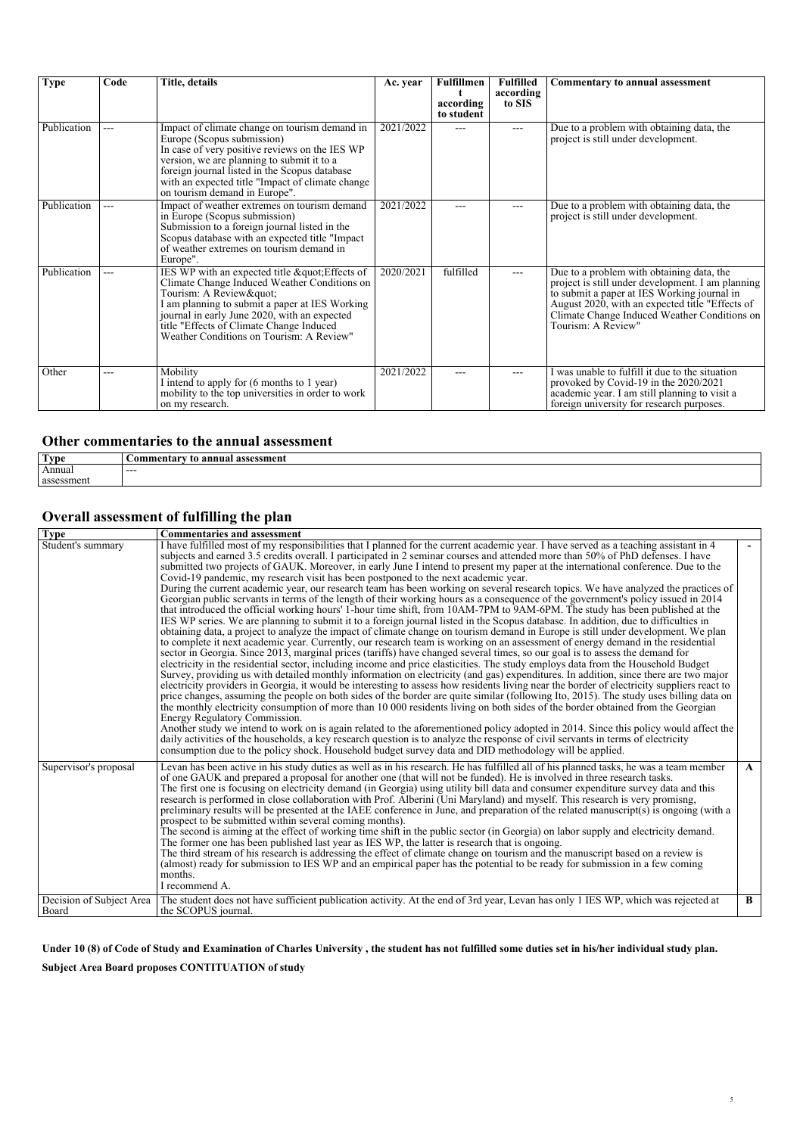| <b>Type</b> | Code | Title, details                                                                                                                                                                                                                                                                                                     | Ac. year  | <b>Fulfillmen</b><br>according<br>to student | <b>Fulfilled</b><br>according<br>to SIS | <b>Commentary to annual assessment</b>                                                                                                                                                                                                                                 |
|-------------|------|--------------------------------------------------------------------------------------------------------------------------------------------------------------------------------------------------------------------------------------------------------------------------------------------------------------------|-----------|----------------------------------------------|-----------------------------------------|------------------------------------------------------------------------------------------------------------------------------------------------------------------------------------------------------------------------------------------------------------------------|
| Publication | ---  | Impact of climate change on tourism demand in<br>Europe (Scopus submission)<br>In case of very positive reviews on the IES WP<br>version, we are planning to submit it to a<br>foreign journal listed in the Scopus database<br>with an expected title "Impact of climate change"<br>on tourism demand in Europe". | 2021/2022 |                                              |                                         | Due to a problem with obtaining data, the<br>project is still under development.                                                                                                                                                                                       |
| Publication | ---  | Impact of weather extremes on tourism demand<br>in Europe (Scopus submission)<br>Submission to a foreign journal listed in the<br>Scopus database with an expected title "Impact"<br>of weather extremes on tourism demand in<br>Europe".                                                                          | 2021/2022 |                                              |                                         | Due to a problem with obtaining data, the<br>project is still under development.                                                                                                                                                                                       |
| Publication | ---  | IES WP with an expected title " Effects of<br>Climate Change Induced Weather Conditions on<br>Tourism: A Review"<br>I am planning to submit a paper at IES Working<br>journal in early June 2020, with an expected<br>title "Effects of Climate Change Induced<br>Weather Conditions on Tourism: A Review"         | 2020/2021 | fulfilled                                    | ---                                     | Due to a problem with obtaining data, the<br>project is still under development. I am planning<br>to submit a paper at IES Working journal in<br>August 2020, with an expected title "Effects of<br>Climate Change Induced Weather Conditions on<br>Tourism: A Review" |
| Other       | ---  | Mobility<br>I intend to apply for (6 months to 1 year)<br>mobility to the top universities in order to work<br>on my research.                                                                                                                                                                                     | 2021/2022 |                                              | ---                                     | I was unable to fulfill it due to the situation<br>provoked by Covid-19 in the 2020/2021<br>academic year. I am still planning to visit a<br>foreign university for research purposes.                                                                                 |

#### *Other commentaries to the annual assessment*

| Type       | annual<br>assessment<br>.mentar <sup>.</sup><br>'omr<br>т |
|------------|-----------------------------------------------------------|
| Annual     | $---$                                                     |
| assessment |                                                           |

## *Overall assessment of fulfilling the plan*

| <b>Type</b>                       | <b>Commentaries and assessment</b>                                                                                                                                                                                                                                                                                                                                                                                                                                                                                                                                                                                                                                                                                                                                                                                                                                                                                                                                                                                                                                                                                                                                                                                                                                                                                                                                                                                                                                                                                                                                                                                                                                                                                                                                                                                                                                                                                                                                                                                                                                                                                                                                                                                                                                                                                                                                                                                                                                                                                                                                                         |              |
|-----------------------------------|--------------------------------------------------------------------------------------------------------------------------------------------------------------------------------------------------------------------------------------------------------------------------------------------------------------------------------------------------------------------------------------------------------------------------------------------------------------------------------------------------------------------------------------------------------------------------------------------------------------------------------------------------------------------------------------------------------------------------------------------------------------------------------------------------------------------------------------------------------------------------------------------------------------------------------------------------------------------------------------------------------------------------------------------------------------------------------------------------------------------------------------------------------------------------------------------------------------------------------------------------------------------------------------------------------------------------------------------------------------------------------------------------------------------------------------------------------------------------------------------------------------------------------------------------------------------------------------------------------------------------------------------------------------------------------------------------------------------------------------------------------------------------------------------------------------------------------------------------------------------------------------------------------------------------------------------------------------------------------------------------------------------------------------------------------------------------------------------------------------------------------------------------------------------------------------------------------------------------------------------------------------------------------------------------------------------------------------------------------------------------------------------------------------------------------------------------------------------------------------------------------------------------------------------------------------------------------------------|--------------|
| Student's summary                 | I have fulfilled most of my responsibilities that I planned for the current academic year. I have served as a teaching assistant in 4<br>subjects and earned 3.5 credits overall. I participated in 2 seminar courses and attended more than 50% of PhD defenses. I have<br>submitted two projects of GAUK. Moreover, in early June I intend to present my paper at the international conference. Due to the<br>Covid-19 pandemic, my research visit has been postponed to the next academic year.<br>During the current academic year, our research team has been working on several research topics. We have analyzed the practices of<br>Georgian public servants in terms of the length of their working hours as a consequence of the government's policy issued in 2014<br>that introduced the official working hours' 1-hour time shift, from 10AM-7PM to 9AM-6PM. The study has been published at the<br>IES WP series. We are planning to submit it to a foreign journal listed in the Scopus database. In addition, due to difficulties in<br>obtaining data, a project to analyze the impact of climate change on tourism demand in Europe is still under development. We plan<br>to complete it next academic year. Currently, our research team is working on an assessment of energy demand in the residential<br>sector in Georgia. Since 2013, marginal prices (tariffs) have changed several times, so our goal is to assess the demand for<br>electricity in the residential sector, including income and price elasticities. The study employs data from the Household Budget<br>Survey, providing us with detailed monthly information on electricity (and gas) expenditures. In addition, since there are two major<br>electricity providers in Georgia, it would be interesting to assess how residents living near the border of electricity suppliers react to<br>price changes, assuming the people on both sides of the border are quite similar (following Ito, 2015). The study uses billing data on<br>the monthly electricity consumption of more than 10 000 residents living on both sides of the border obtained from the Georgian<br>Energy Regulatory Commission.<br>Another study we intend to work on is again related to the aforementioned policy adopted in 2014. Since this policy would affect the<br>daily activities of the households, a key research question is to analyze the response of civil servants in terms of electricity<br>consumption due to the policy shock. Household budget survey data and DID methodology will be applied. |              |
| Supervisor's proposal             | Levan has been active in his study duties as well as in his research. He has fulfilled all of his planned tasks, he was a team member<br>of one GAUK and prepared a proposal for another one (that will not be funded). He is involved in three research tasks.<br>The first one is focusing on electricity demand (in Georgia) using utility bill data and consumer expenditure survey data and this<br>research is performed in close collaboration with Prof. Alberini (Uni Maryland) and myself. This research is very promisng,<br>preliminary results will be presented at the IAEE conference in June, and preparation of the related manuscript(s) is ongoing (with a<br>prospect to be submitted within several coming months).<br>The second is aiming at the effect of working time shift in the public sector (in Georgia) on labor supply and electricity demand.<br>The former one has been published last year as IES WP, the latter is research that is ongoing.<br>The third stream of his research is addressing the effect of climate change on tourism and the manuscript based on a review is<br>(almost) ready for submission to IES WP and an empirical paper has the potential to be ready for submission in a few coming<br>months.<br>I recommend A.                                                                                                                                                                                                                                                                                                                                                                                                                                                                                                                                                                                                                                                                                                                                                                                                                                                                                                                                                                                                                                                                                                                                                                                                                                                                                                             | $\mathbf{A}$ |
| Decision of Subject Area<br>Board | The student does not have sufficient publication activity. At the end of 3rd year, Levan has only 1 IES WP, which was rejected at<br>the SCOPUS journal.                                                                                                                                                                                                                                                                                                                                                                                                                                                                                                                                                                                                                                                                                                                                                                                                                                                                                                                                                                                                                                                                                                                                                                                                                                                                                                                                                                                                                                                                                                                                                                                                                                                                                                                                                                                                                                                                                                                                                                                                                                                                                                                                                                                                                                                                                                                                                                                                                                   | B            |

*Under 10 (8) of Code of Study and Examination of Charles University , the student has not fulfilled some duties set in his/her individual study plan. Subject Area Board proposes CONTITUATION of study*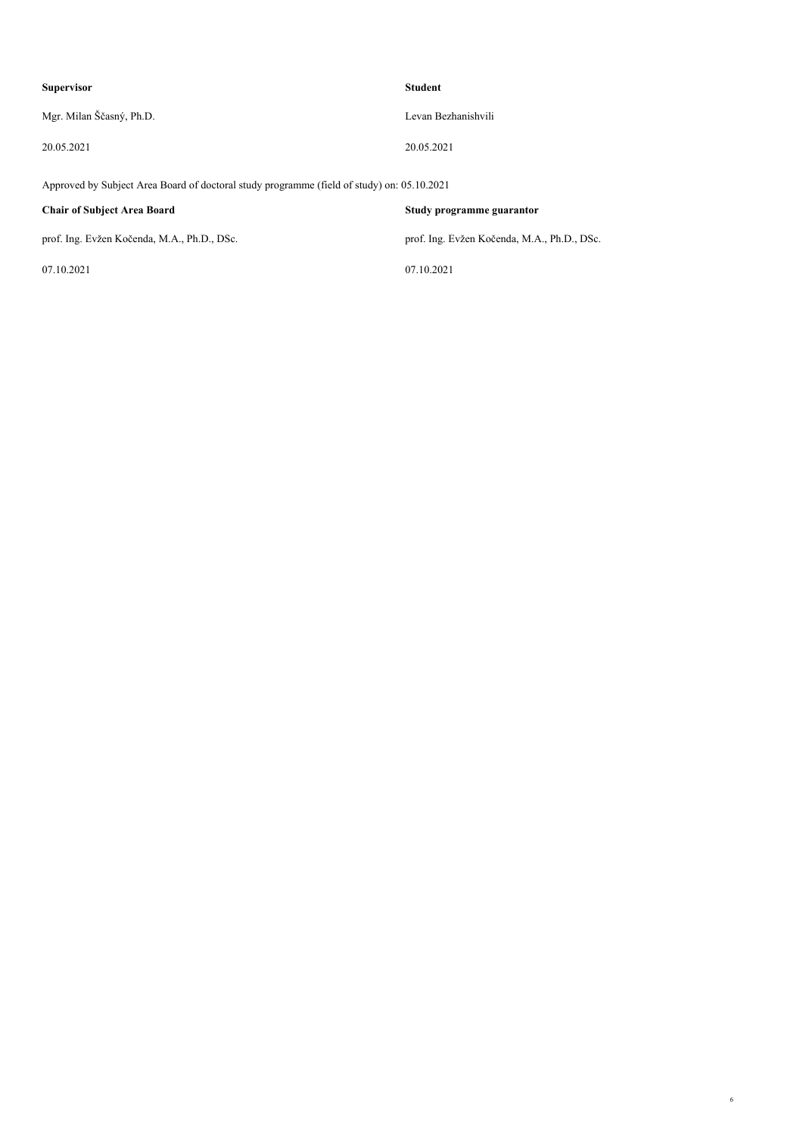| <b>Supervisor</b>        | <b>Student</b>      |
|--------------------------|---------------------|
| Mgr. Milan Ščasný, Ph.D. | Levan Bezhanishvili |
| 20.05.2021               | 20.05.2021          |

*Approved by Subject Area Board of doctoral study programme (field of study) on: 05.10.2021*

*07.10.2021 07.10.2021*

*Chair of Subject Area Board Study programme guarantor*

*prof. Ing. Evžen Kočenda, M.A., Ph.D., DSc. prof. Ing. Evžen Kočenda, M.A., Ph.D., DSc.*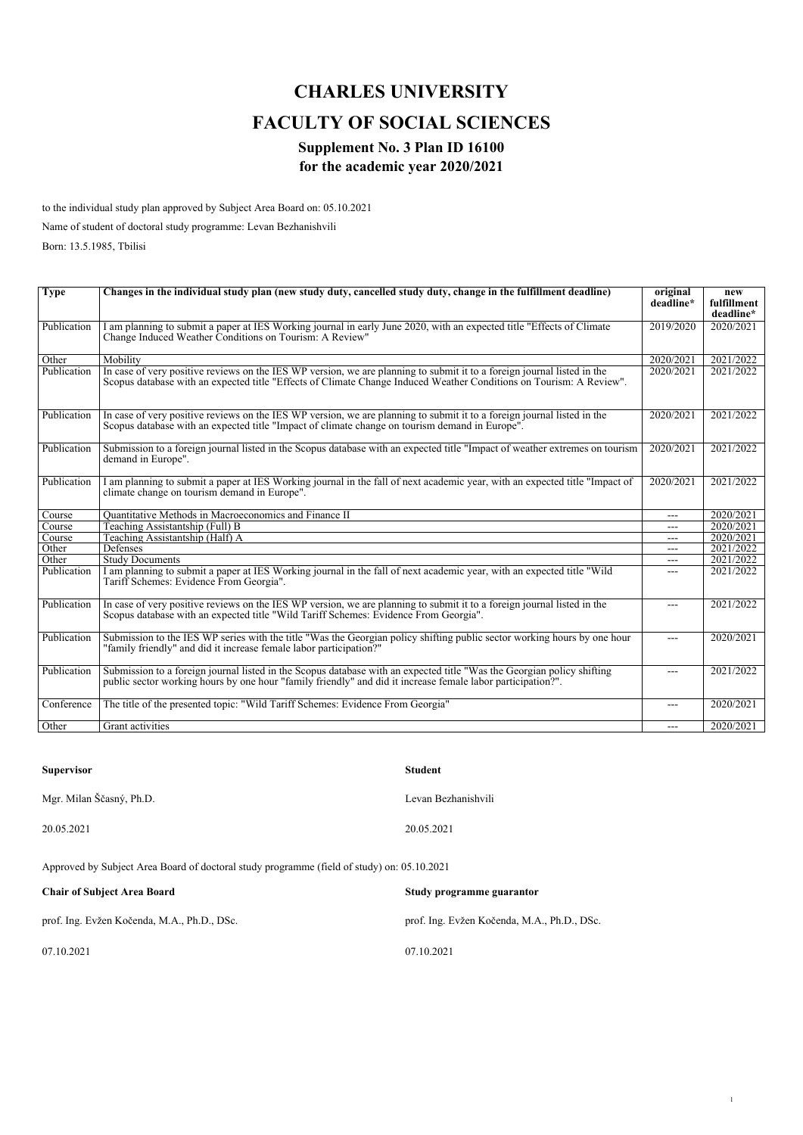# *CHARLES UNIVERSITY FACULTY OF SOCIAL SCIENCES*

#### *Supplement No. 3 Plan ID 16100 for the academic year 2020/2021*

*to the individual study plan approved by Subject Area Board on: 05.10.2021*

*Name of student of doctoral study programme: Levan Bezhanishvili*

*Born: 13.5.1985, Tbilisi*

| <b>Type</b> | Changes in the individual study plan (new study duty, cancelled study duty, change in the fulfillment deadline)                                                                                                                                | original<br>deadline* | new<br>fulfillment |
|-------------|------------------------------------------------------------------------------------------------------------------------------------------------------------------------------------------------------------------------------------------------|-----------------------|--------------------|
|             |                                                                                                                                                                                                                                                |                       | deadline*          |
| Publication | I am planning to submit a paper at IES Working journal in early June 2020, with an expected title "Effects of Climate<br>Change Induced Weather Conditions on Tourism: A Review"                                                               | 2019/2020             | 2020/2021          |
| Other       | Mobility                                                                                                                                                                                                                                       | 2020/2021             | 2021/2022          |
| Publication | In case of very positive reviews on the IES WP version, we are planning to submit it to a foreign journal listed in the<br>Scopus database with an expected title "Effects of Climate Change Induced Weather Conditions on Tourism: A Review". | 2020/2021             | 2021/2022          |
| Publication | In case of very positive reviews on the IES WP version, we are planning to submit it to a foreign journal listed in the<br>Scopus database with an expected title "Impact of climate change on tourism demand in Europe".                      | 2020/2021             | 2021/2022          |
| Publication | Submission to a foreign journal listed in the Scopus database with an expected title "Impact of weather extremes on tourism<br>demand in Europe".                                                                                              | 2020/2021             | 2021/2022          |
| Publication | I am planning to submit a paper at IES Working journal in the fall of next academic year, with an expected title "Impact of<br>climate change on tourism demand in Europe".                                                                    | 2020/2021             | 2021/2022          |
| Course      | Quantitative Methods in Macroeconomics and Finance II                                                                                                                                                                                          | ---                   | 2020/2021          |
| Course      | Teaching Assistantship (Full) B                                                                                                                                                                                                                | $---$                 | 2020/2021          |
| Course      | Teaching Assistantship (Half) A                                                                                                                                                                                                                | ---                   | 2020/2021          |
| Other       | Defenses                                                                                                                                                                                                                                       | $---$                 | 2021/2022          |
| Other       | <b>Study Documents</b>                                                                                                                                                                                                                         | ---                   | 2021/2022          |
| Publication | I am planning to submit a paper at IES Working journal in the fall of next academic year, with an expected title "Wild"<br>Tariff Schemes: Evidence From Georgia".                                                                             | ---                   | 2021/2022          |
| Publication | In case of very positive reviews on the IES WP version, we are planning to submit it to a foreign journal listed in the<br>Scopus database with an expected title "Wild Tariff Schemes: Evidence From Georgia".                                | $---$                 | 2021/2022          |
| Publication | Submission to the IES WP series with the title "Was the Georgian policy shifting public sector working hours by one hour<br>"family friendly" and did it increase female labor participation?"                                                 | ---                   | 2020/2021          |
| Publication | Submission to a foreign journal listed in the Scopus database with an expected title "Was the Georgian policy shifting<br>public sector working hours by one hour "family friendly" and did it increase female labor participation?".          | ---                   | 2021/2022          |
| Conference  | The title of the presented topic: "Wild Tariff Schemes: Evidence From Georgia"                                                                                                                                                                 | ---                   | 2020/2021          |
| Other       | Grant activities                                                                                                                                                                                                                               | ---                   | 2020/2021          |

| <b>Supervisor</b>        | <b>Student</b>      |
|--------------------------|---------------------|
| Mgr. Milan Ščasný, Ph.D. | Levan Bezhanishvili |
| 20.05.2021               | 20.05.2021          |

*Approved by Subject Area Board of doctoral study programme (field of study) on: 05.10.2021*

| <b>Chair of Subject Area Board</b>          | Study programme guarantor                   |
|---------------------------------------------|---------------------------------------------|
| prof. Ing. Evžen Kočenda, M.A., Ph.D., DSc. | prof. Ing. Evžen Kočenda, M.A., Ph.D., DSc. |
| 07.10.2021                                  | 07.10.2021                                  |